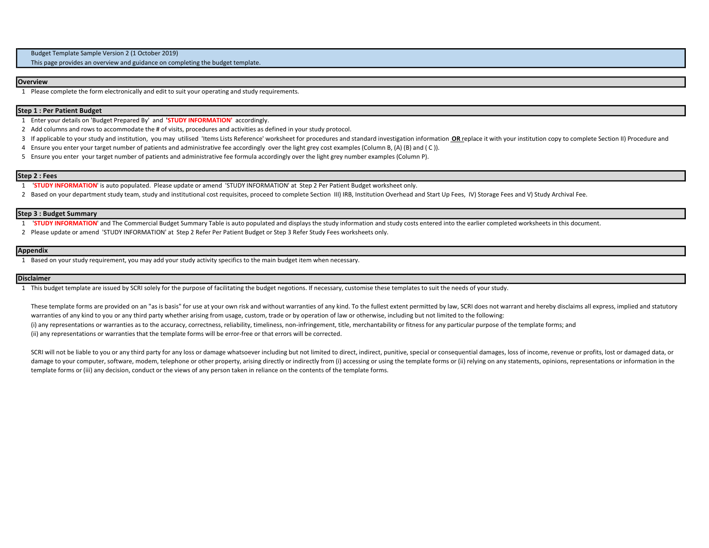Budget Template Sample Version 2 (1 October 2019)

This page provides an overview and guidance on completing the budget template.

### **Overview**

1 Please complete the form electronically and edit to suit your operating and study requirements.

# Step 1 : Per Patient Budget

1 Enter your details on 'Budget Prepared By' and 'STUDY INFORMATION' accordingly.

2 Add columns and rows to accommodate the # of visits, procedures and activities as defined in your study protocol.

- 3 If applicable to your study and institution, you may utilised 'Items Lists Reference' worksheet for procedures and standard investigation information OR replace it with your institution copy to complete Section II) Proce
- 4 Ensure you enter your target number of patients and administrative fee accordingly over the light grey cost examples (Column B, (A) (B) and ( C )).
- 5 Ensure you enter your target number of patients and administrative fee formula accordingly over the light grey number examples (Column P).

# Step 2 : Fees

- 1 'STUDY INFORMATION' is auto populated. Please update or amend 'STUDY INFORMATION' at Step 2 Per Patient Budget worksheet only.
- 2 Based on your department study team, study and institutional cost requisites, proceed to complete Section III) IRB, Institution Overhead and Start Up Fees, IV) Storage Fees and V) Study Archival Fee.

### Step 3 : Budget Summary

- 1 'STUDY INFORMATION' and The Commercial Budget Summary Table is auto populated and displays the study information and study costs entered into the earlier completed worksheets in this document.
- 2 Please update or amend 'STUDY INFORMATION' at Step 2 Refer Per Patient Budget or Step 3 Refer Study Fees worksheets only.

## Appendix

1 Based on your study requirement, you may add your study activity specifics to the main budget item when necessary.

#### **Disclaimer**

1 This budget template are issued by SCRI solely for the purpose of facilitating the budget negotions. If necessary, customise these templates to suit the needs of your study.

These template forms are provided on an "as is basis" for use at your own risk and without warranties of any kind. To the fullest extent permitted by law, SCRI does not warrant and hereby disclaims all express, implied and warranties of any kind to you or any third party whether arising from usage, custom, trade or by operation of law or otherwise, including but not limited to the following: (i) any representations or warranties as to the accuracy, correctness, reliability, timeliness, non-infringement, title, merchantability or fitness for any particular purpose of the template forms; and (ii) any representations or warranties that the template forms will be error-free or that errors will be corrected.

SCRI will not be liable to you or any third party for any loss or damage whatsoever including but not limited to direct, indirect, punitive, special or consequential damages, loss of income, revenue or profits, lost or dam damage to your computer, software, modem, telephone or other property, arising directly or indirectly from (i) accessing or using the template forms or (ii) relying on any statements, opinions, representations or informati template forms or (iii) any decision, conduct or the views of any person taken in reliance on the contents of the template forms.